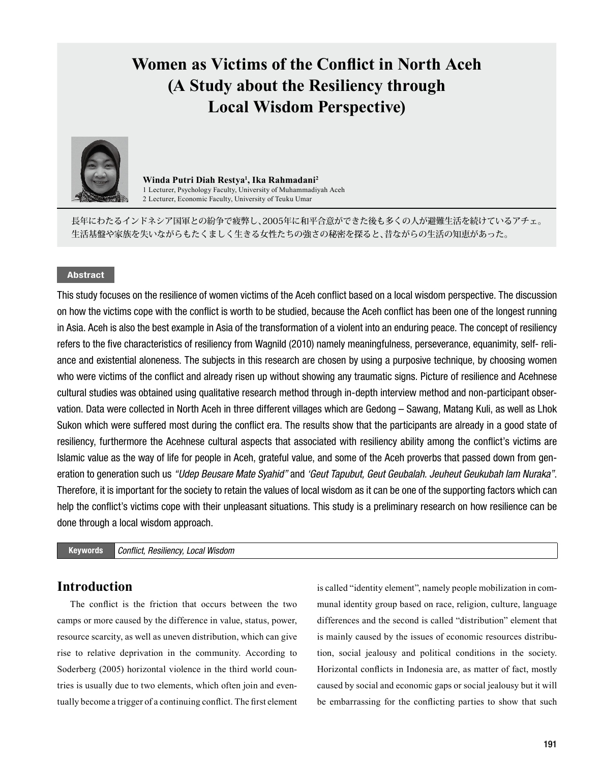# **Women as Victims of the Conflict in North Aceh (A Study about the Resiliency through Local Wisdom Perspective)**



**Winda Putri Diah Restya<sup>1</sup> , Ika Rahmadani<sup>2</sup>** 1 Lecturer, Psychology Faculty, University of Muhammadiyah Aceh 2 Lecturer, Economic Faculty, University of Teuku Umar

長年にわたるインドネシア国軍との紛争で疲弊し、2005年に和平合意ができた後も多くの人が避難生活を続けているアチェ。 生活基盤や家族を失いながらもたくましく生きる女性たちの強さの秘密を探ると、昔ながらの生活の知恵があった。

# Abstract

This study focuses on the resilience of women victims of the Aceh conflict based on a local wisdom perspective. The discussion on how the victims cope with the conflict is worth to be studied, because the Aceh conflict has been one of the longest running in Asia. Aceh is also the best example in Asia of the transformation of a violent into an enduring peace. The concept of resiliency refers to the five characteristics of resiliency from Wagnild (2010) namely meaningfulness, perseverance, equanimity, self- reliance and existential aloneness. The subjects in this research are chosen by using a purposive technique, by choosing women who were victims of the conflict and already risen up without showing any traumatic signs. Picture of resilience and Acehnese cultural studies was obtained using qualitative research method through in-depth interview method and non-participant observation. Data were collected in North Aceh in three different villages which are Gedong – Sawang, Matang Kuli, as well as Lhok Sukon which were suffered most during the conflict era. The results show that the participants are already in a good state of resiliency, furthermore the Acehnese cultural aspects that associated with resiliency ability among the conflict's victims are Islamic value as the way of life for people in Aceh, grateful value, and some of the Aceh proverbs that passed down from generation to generation such us *"Udep Beusare Mate Syahid"* and *'Geut Tapubut, Geut Geubalah. Jeuheut Geukubah lam Nuraka"*. Therefore, it is important for the society to retain the values of local wisdom as it can be one of the supporting factors which can help the conflict's victims cope with their unpleasant situations. This study is a preliminary research on how resilience can be done through a local wisdom approach.

Keywords *Conflict, Resiliency, Local Wisdom*

# **Introduction**

The conflict is the friction that occurs between the two camps or more caused by the difference in value, status, power, resource scarcity, as well as uneven distribution, which can give rise to relative deprivation in the community. According to Soderberg (2005) horizontal violence in the third world countries is usually due to two elements, which often join and eventually become a trigger of a continuing conflict. The first element

is called "identity element", namely people mobilization in communal identity group based on race, religion, culture, language differences and the second is called "distribution" element that is mainly caused by the issues of economic resources distribution, social jealousy and political conditions in the society. Horizontal conflicts in Indonesia are, as matter of fact, mostly caused by social and economic gaps or social jealousy but it will be embarrassing for the conflicting parties to show that such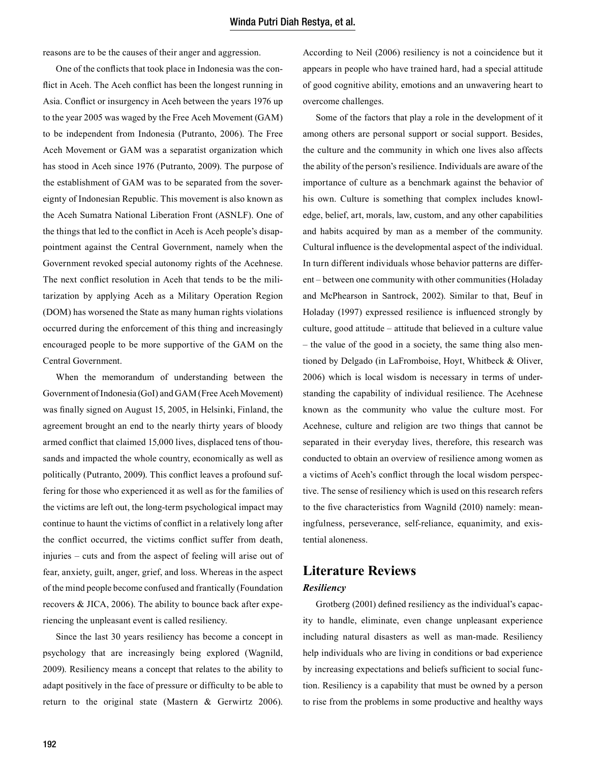reasons are to be the causes of their anger and aggression.

One of the conflicts that took place in Indonesia was the conflict in Aceh. The Aceh conflict has been the longest running in Asia. Conflict or insurgency in Aceh between the years 1976 up to the year 2005 was waged by the Free Aceh Movement (GAM) to be independent from Indonesia (Putranto, 2006). The Free Aceh Movement or GAM was a separatist organization which has stood in Aceh since 1976 (Putranto, 2009). The purpose of the establishment of GAM was to be separated from the sovereignty of Indonesian Republic. This movement is also known as the Aceh Sumatra National Liberation Front (ASNLF). One of the things that led to the conflict in Aceh is Aceh people's disappointment against the Central Government, namely when the Government revoked special autonomy rights of the Acehnese. The next conflict resolution in Aceh that tends to be the militarization by applying Aceh as a Military Operation Region (DOM) has worsened the State as many human rights violations occurred during the enforcement of this thing and increasingly encouraged people to be more supportive of the GAM on the Central Government.

When the memorandum of understanding between the Government of Indonesia (GoI) and GAM (Free Aceh Movement) was finally signed on August 15, 2005, in Helsinki, Finland, the agreement brought an end to the nearly thirty years of bloody armed conflict that claimed 15,000 lives, displaced tens of thousands and impacted the whole country, economically as well as politically (Putranto, 2009). This conflict leaves a profound suffering for those who experienced it as well as for the families of the victims are left out, the long-term psychological impact may continue to haunt the victims of conflict in a relatively long after the conflict occurred, the victims conflict suffer from death, injuries – cuts and from the aspect of feeling will arise out of fear, anxiety, guilt, anger, grief, and loss. Whereas in the aspect of the mind people become confused and frantically (Foundation recovers & JICA, 2006). The ability to bounce back after experiencing the unpleasant event is called resiliency.

Since the last 30 years resiliency has become a concept in psychology that are increasingly being explored (Wagnild, 2009). Resiliency means a concept that relates to the ability to adapt positively in the face of pressure or difficulty to be able to return to the original state (Mastern & Gerwirtz 2006).

According to Neil (2006) resiliency is not a coincidence but it appears in people who have trained hard, had a special attitude of good cognitive ability, emotions and an unwavering heart to overcome challenges.

Some of the factors that play a role in the development of it among others are personal support or social support. Besides, the culture and the community in which one lives also affects the ability of the person's resilience. Individuals are aware of the importance of culture as a benchmark against the behavior of his own. Culture is something that complex includes knowledge, belief, art, morals, law, custom, and any other capabilities and habits acquired by man as a member of the community. Cultural influence is the developmental aspect of the individual. In turn different individuals whose behavior patterns are different – between one community with other communities (Holaday and McPhearson in Santrock, 2002). Similar to that, Beuf in Holaday (1997) expressed resilience is influenced strongly by culture, good attitude – attitude that believed in a culture value – the value of the good in a society, the same thing also mentioned by Delgado (in LaFromboise, Hoyt, Whitbeck & Oliver, 2006) which is local wisdom is necessary in terms of understanding the capability of individual resilience. The Acehnese known as the community who value the culture most. For Acehnese, culture and religion are two things that cannot be separated in their everyday lives, therefore, this research was conducted to obtain an overview of resilience among women as a victims of Aceh's conflict through the local wisdom perspective. The sense of resiliency which is used on this research refers to the five characteristics from Wagnild (2010) namely: meaningfulness, perseverance, self-reliance, equanimity, and existential aloneness.

# **Literature Reviews**

# *Resiliency*

Grotberg (2001) defined resiliency as the individual's capacity to handle, eliminate, even change unpleasant experience including natural disasters as well as man-made. Resiliency help individuals who are living in conditions or bad experience by increasing expectations and beliefs sufficient to social function. Resiliency is a capability that must be owned by a person to rise from the problems in some productive and healthy ways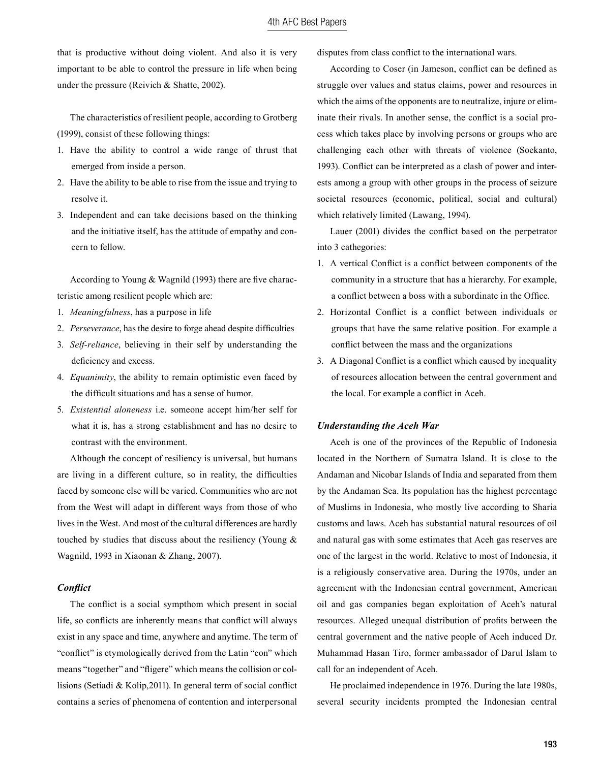that is productive without doing violent. And also it is very important to be able to control the pressure in life when being under the pressure (Reivich & Shatte, 2002).

The characteristics of resilient people, according to Grotberg (1999), consist of these following things:

- 1. Have the ability to control a wide range of thrust that emerged from inside a person.
- 2. Have the ability to be able to rise from the issue and trying to resolve it.
- 3. Independent and can take decisions based on the thinking and the initiative itself, has the attitude of empathy and concern to fellow.

According to Young & Wagnild (1993) there are five characteristic among resilient people which are:

- 1. *Meaningfulness*, has a purpose in life
- 2. *Perseverance*, has the desire to forge ahead despite difficulties
- 3. *Self-reliance*, believing in their self by understanding the deficiency and excess.
- 4. *Equanimity*, the ability to remain optimistic even faced by the difficult situations and has a sense of humor.
- 5. *Existential aloneness* i.e. someone accept him/her self for what it is, has a strong establishment and has no desire to contrast with the environment.

Although the concept of resiliency is universal, but humans are living in a different culture, so in reality, the difficulties faced by someone else will be varied. Communities who are not from the West will adapt in different ways from those of who lives in the West. And most of the cultural differences are hardly touched by studies that discuss about the resiliency (Young & Wagnild, 1993 in Xiaonan & Zhang, 2007).

#### *Conflict*

The conflict is a social sympthom which present in social life, so conflicts are inherently means that conflict will always exist in any space and time, anywhere and anytime. The term of "conflict" is etymologically derived from the Latin "con" which means "together" and "fligere" which means the collision or collisions (Setiadi & Kolip,2011). In general term of social conflict contains a series of phenomena of contention and interpersonal

disputes from class conflict to the international wars.

According to Coser (in Jameson, conflict can be defined as struggle over values and status claims, power and resources in which the aims of the opponents are to neutralize, injure or eliminate their rivals. In another sense, the conflict is a social process which takes place by involving persons or groups who are challenging each other with threats of violence (Soekanto, 1993). Conflict can be interpreted as a clash of power and interests among a group with other groups in the process of seizure societal resources (economic, political, social and cultural) which relatively limited (Lawang, 1994).

Lauer (2001) divides the conflict based on the perpetrator into 3 cathegories:

- 1. A vertical Conflict is a conflict between components of the community in a structure that has a hierarchy. For example, a conflict between a boss with a subordinate in the Office.
- 2. Horizontal Conflict is a conflict between individuals or groups that have the same relative position. For example a conflict between the mass and the organizations
- 3. A Diagonal Conflict is a conflict which caused by inequality of resources allocation between the central government and the local. For example a conflict in Aceh.

## *Understanding the Aceh War*

Aceh is one of the provinces of the Republic of Indonesia located in the Northern of Sumatra Island. It is close to the Andaman and Nicobar Islands of India and separated from them by the Andaman Sea. Its population has the highest percentage of Muslims in Indonesia, who mostly live according to Sharia customs and laws. Aceh has substantial natural resources of oil and natural gas with some estimates that Aceh gas reserves are one of the largest in the world. Relative to most of Indonesia, it is a religiously conservative area. During the 1970s, under an agreement with the Indonesian central government, American oil and gas companies began exploitation of Aceh's natural resources. Alleged unequal distribution of profits between the central government and the native people of Aceh induced Dr. Muhammad Hasan Tiro, former ambassador of Darul Islam to call for an independent of Aceh.

He proclaimed independence in 1976. During the late 1980s, several security incidents prompted the Indonesian central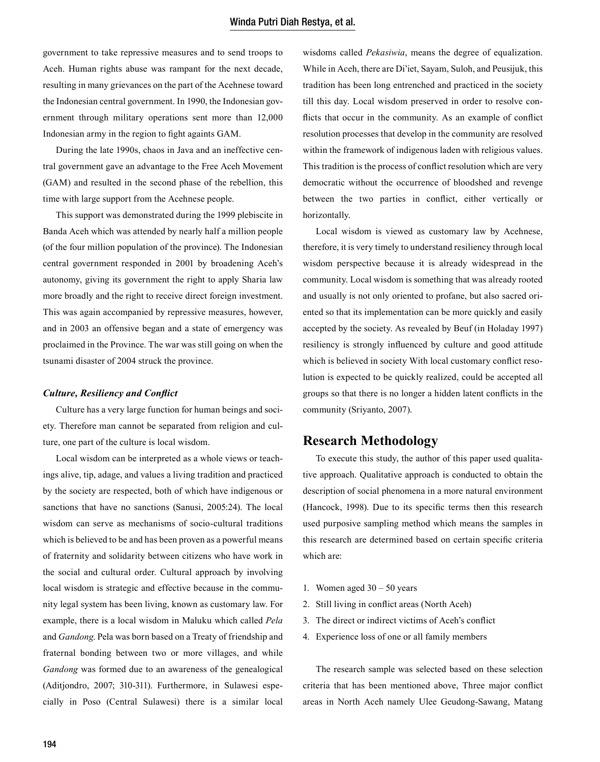government to take repressive measures and to send troops to Aceh. Human rights abuse was rampant for the next decade, resulting in many grievances on the part of the Acehnese toward the Indonesian central government. In 1990, the Indonesian government through military operations sent more than 12,000 Indonesian army in the region to fight againts GAM.

During the late 1990s, chaos in Java and an ineffective central government gave an advantage to the Free Aceh Movement (GAM) and resulted in the second phase of the rebellion, this time with large support from the Acehnese people.

This support was demonstrated during the 1999 plebiscite in Banda Aceh which was attended by nearly half a million people (of the four million population of the province). The Indonesian central government responded in 2001 by broadening Aceh's autonomy, giving its government the right to apply Sharia law more broadly and the right to receive direct foreign investment. This was again accompanied by repressive measures, however, and in 2003 an offensive began and a state of emergency was proclaimed in the Province. The war was still going on when the tsunami disaster of 2004 struck the province.

## *Culture, Resiliency and Conflict*

Culture has a very large function for human beings and society. Therefore man cannot be separated from religion and culture, one part of the culture is local wisdom.

Local wisdom can be interpreted as a whole views or teachings alive, tip, adage, and values a living tradition and practiced by the society are respected, both of which have indigenous or sanctions that have no sanctions (Sanusi, 2005:24). The local wisdom can serve as mechanisms of socio-cultural traditions which is believed to be and has been proven as a powerful means of fraternity and solidarity between citizens who have work in the social and cultural order. Cultural approach by involving local wisdom is strategic and effective because in the community legal system has been living, known as customary law. For example, there is a local wisdom in Maluku which called *Pela* and *Gandong*. Pela was born based on a Treaty of friendship and fraternal bonding between two or more villages, and while *Gandong* was formed due to an awareness of the genealogical (Aditjondro, 2007; 310-311). Furthermore, in Sulawesi especially in Poso (Central Sulawesi) there is a similar local

wisdoms called *Pekasiwia*, means the degree of equalization. While in Aceh, there are Di'iet, Sayam, Suloh, and Peusijuk, this tradition has been long entrenched and practiced in the society till this day. Local wisdom preserved in order to resolve conflicts that occur in the community. As an example of conflict resolution processes that develop in the community are resolved within the framework of indigenous laden with religious values. This tradition is the process of conflict resolution which are very democratic without the occurrence of bloodshed and revenge between the two parties in conflict, either vertically or horizontally.

Local wisdom is viewed as customary law by Acehnese, therefore, it is very timely to understand resiliency through local wisdom perspective because it is already widespread in the community. Local wisdom is something that was already rooted and usually is not only oriented to profane, but also sacred oriented so that its implementation can be more quickly and easily accepted by the society. As revealed by Beuf (in Holaday 1997) resiliency is strongly influenced by culture and good attitude which is believed in society With local customary conflict resolution is expected to be quickly realized, could be accepted all groups so that there is no longer a hidden latent conflicts in the community (Sriyanto, 2007).

# **Research Methodology**

To execute this study, the author of this paper used qualitative approach. Qualitative approach is conducted to obtain the description of social phenomena in a more natural environment (Hancock, 1998). Due to its specific terms then this research used purposive sampling method which means the samples in this research are determined based on certain specific criteria which are:

- 1. Women aged  $30 50$  years
- 2. Still living in conflict areas (North Aceh)
- 3. The direct or indirect victims of Aceh's conflict
- 4. Experience loss of one or all family members

The research sample was selected based on these selection criteria that has been mentioned above, Three major conflict areas in North Aceh namely Ulee Geudong-Sawang, Matang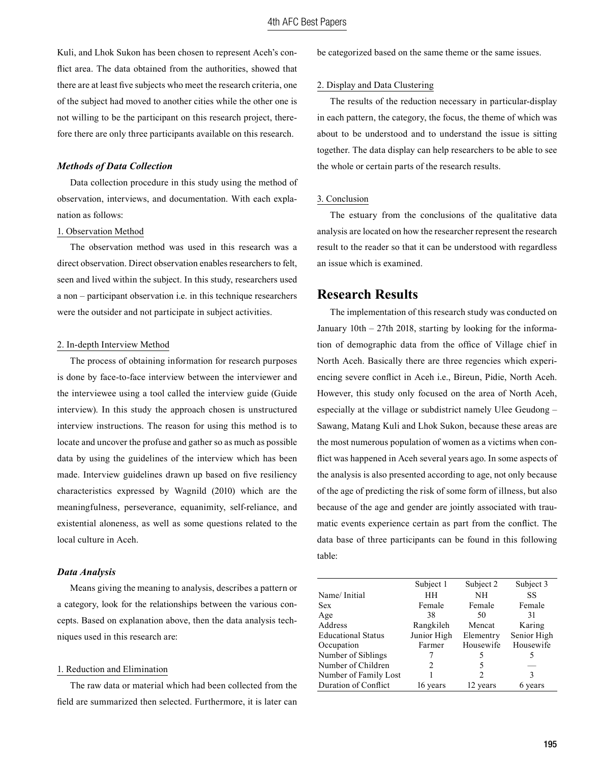Kuli, and Lhok Sukon has been chosen to represent Aceh's conflict area. The data obtained from the authorities, showed that there are at least five subjects who meet the research criteria, one of the subject had moved to another cities while the other one is not willing to be the participant on this research project, therefore there are only three participants available on this research.

## *Methods of Data Collection*

Data collection procedure in this study using the method of observation, interviews, and documentation. With each explanation as follows:

#### 1. Observation Method

The observation method was used in this research was a direct observation. Direct observation enables researchers to felt, seen and lived within the subject. In this study, researchers used a non – participant observation i.e. in this technique researchers were the outsider and not participate in subject activities.

#### 2. In-depth Interview Method

The process of obtaining information for research purposes is done by face-to-face interview between the interviewer and the interviewee using a tool called the interview guide (Guide interview). In this study the approach chosen is unstructured interview instructions. The reason for using this method is to locate and uncover the profuse and gather so as much as possible data by using the guidelines of the interview which has been made. Interview guidelines drawn up based on five resiliency characteristics expressed by Wagnild (2010) which are the meaningfulness, perseverance, equanimity, self-reliance, and existential aloneness, as well as some questions related to the local culture in Aceh.

## *Data Analysis*

Means giving the meaning to analysis, describes a pattern or a category, look for the relationships between the various concepts. Based on explanation above, then the data analysis techniques used in this research are:

## 1. Reduction and Elimination

The raw data or material which had been collected from the field are summarized then selected. Furthermore, it is later can be categorized based on the same theme or the same issues.

#### 2. Display and Data Clustering

The results of the reduction necessary in particular-display in each pattern, the category, the focus, the theme of which was about to be understood and to understand the issue is sitting together. The data display can help researchers to be able to see the whole or certain parts of the research results.

#### 3. Conclusion

The estuary from the conclusions of the qualitative data analysis are located on how the researcher represent the research result to the reader so that it can be understood with regardless an issue which is examined.

# **Research Results**

The implementation of this research study was conducted on January 10th – 27th 2018, starting by looking for the information of demographic data from the office of Village chief in North Aceh. Basically there are three regencies which experiencing severe conflict in Aceh i.e., Bireun, Pidie, North Aceh. However, this study only focused on the area of North Aceh, especially at the village or subdistrict namely Ulee Geudong – Sawang, Matang Kuli and Lhok Sukon, because these areas are the most numerous population of women as a victims when conflict was happened in Aceh several years ago. In some aspects of the analysis is also presented according to age, not only because of the age of predicting the risk of some form of illness, but also because of the age and gender are jointly associated with traumatic events experience certain as part from the conflict. The data base of three participants can be found in this following table:

|                           | Subject 1      | Subject 2     | Subject 3   |
|---------------------------|----------------|---------------|-------------|
| Name/Initial              | HH             | NН            | SS          |
| Sex                       | Female         | Female        | Female      |
| Age                       | 38             | 50            | 31          |
| Address                   | Rangkileh      | Mencat        | Karing      |
| <b>Educational Status</b> | Junior High    | Elementry     | Senior High |
| Occupation                | Farmer         | Housewife     | Housewife   |
| Number of Siblings        |                | 5             | 5           |
| Number of Children        | $\mathfrak{D}$ | 5             |             |
| Number of Family Lost     |                | $\mathcal{P}$ | 3           |
| Duration of Conflict      | 16 years       | 12 years      | 6 years     |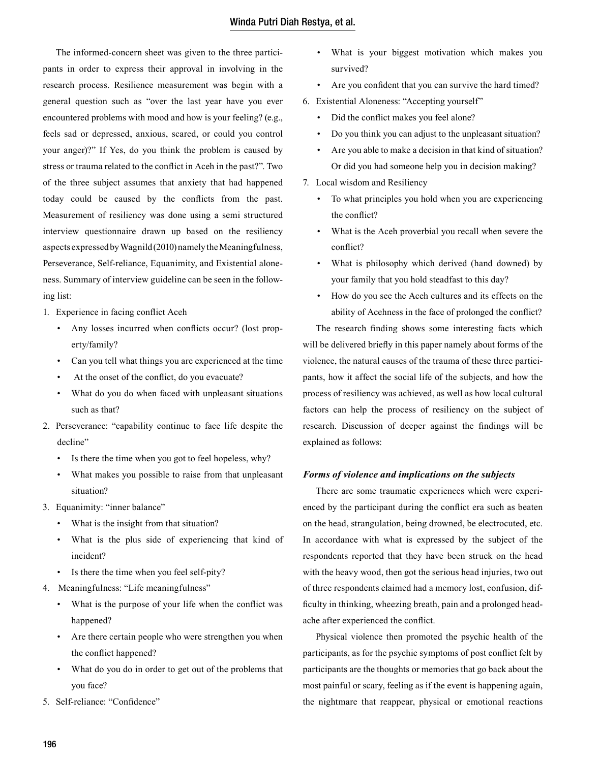The informed-concern sheet was given to the three participants in order to express their approval in involving in the research process. Resilience measurement was begin with a general question such as "over the last year have you ever encountered problems with mood and how is your feeling? (e.g., feels sad or depressed, anxious, scared, or could you control your anger)?" If Yes, do you think the problem is caused by stress or trauma related to the conflict in Aceh in the past?". Two of the three subject assumes that anxiety that had happened today could be caused by the conflicts from the past. Measurement of resiliency was done using a semi structured interview questionnaire drawn up based on the resiliency aspects expressed by Wagnild (2010) namely the Meaningfulness, Perseverance, Self-reliance, Equanimity, and Existential aloneness. Summary of interview guideline can be seen in the following list:

- 1. Experience in facing conflict Aceh
	- Any losses incurred when conflicts occur? (lost property/family?
	- Can you tell what things you are experienced at the time
	- At the onset of the conflict, do you evacuate?
	- What do you do when faced with unpleasant situations such as that?
- 2. Perseverance: "capability continue to face life despite the decline"
	- Is there the time when you got to feel hopeless, why?
	- What makes you possible to raise from that unpleasant situation?
- 3. Equanimity: "inner balance"
	- What is the insight from that situation?
	- What is the plus side of experiencing that kind of incident?
	- Is there the time when you feel self-pity?
- 4. Meaningfulness: "Life meaningfulness"
	- What is the purpose of your life when the conflict was happened?
	- Are there certain people who were strengthen you when the conflict happened?
	- What do you do in order to get out of the problems that you face?
- 5. Self-reliance: "Confidence"
- What is your biggest motivation which makes you survived?
- Are you confident that you can survive the hard timed?
- 6. Existential Aloneness: "Accepting yourself"
	- Did the conflict makes you feel alone?
	- Do you think you can adjust to the unpleasant situation?
	- Are you able to make a decision in that kind of situation? Or did you had someone help you in decision making?
- 7. Local wisdom and Resiliency
	- To what principles you hold when you are experiencing the conflict?
	- What is the Aceh proverbial you recall when severe the conflict?
	- What is philosophy which derived (hand downed) by your family that you hold steadfast to this day?
	- How do you see the Aceh cultures and its effects on the ability of Acehness in the face of prolonged the conflict?

The research finding shows some interesting facts which will be delivered briefly in this paper namely about forms of the violence, the natural causes of the trauma of these three participants, how it affect the social life of the subjects, and how the process of resiliency was achieved, as well as how local cultural factors can help the process of resiliency on the subject of research. Discussion of deeper against the findings will be explained as follows:

# *Forms of violence and implications on the subjects*

There are some traumatic experiences which were experienced by the participant during the conflict era such as beaten on the head, strangulation, being drowned, be electrocuted, etc. In accordance with what is expressed by the subject of the respondents reported that they have been struck on the head with the heavy wood, then got the serious head injuries, two out of three respondents claimed had a memory lost, confusion, difficulty in thinking, wheezing breath, pain and a prolonged headache after experienced the conflict.

Physical violence then promoted the psychic health of the participants, as for the psychic symptoms of post conflict felt by participants are the thoughts or memories that go back about the most painful or scary, feeling as if the event is happening again, the nightmare that reappear, physical or emotional reactions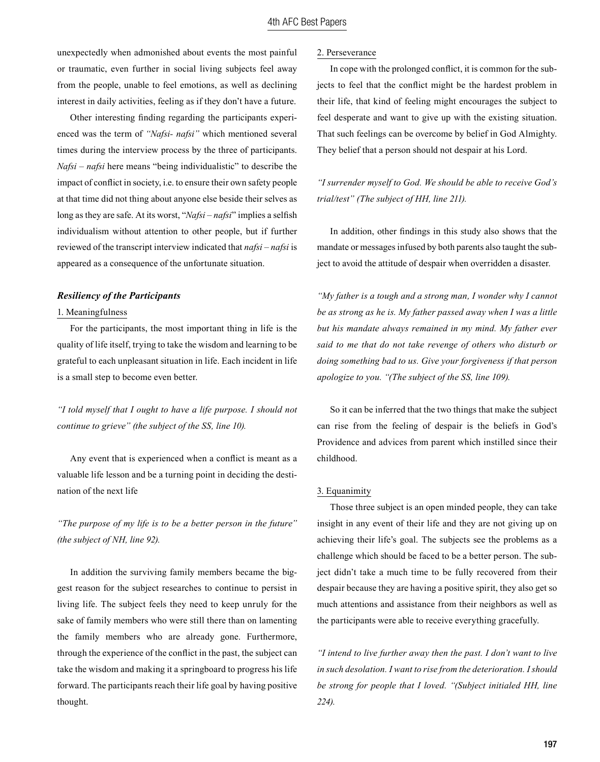# 4th AFC Best Papers

unexpectedly when admonished about events the most painful or traumatic, even further in social living subjects feel away from the people, unable to feel emotions, as well as declining interest in daily activities, feeling as if they don't have a future.

Other interesting finding regarding the participants experienced was the term of *"Nafsi- nafsi"* which mentioned several times during the interview process by the three of participants. *Nafsi – nafsi* here means "being individualistic" to describe the impact of conflict in society, i.e. to ensure their own safety people at that time did not thing about anyone else beside their selves as long as they are safe. At its worst, "*Nafsi – nafsi*" implies a selfish individualism without attention to other people, but if further reviewed of the transcript interview indicated that *nafsi – nafsi* is appeared as a consequence of the unfortunate situation.

#### *Resiliency of the Participants*

#### 1. Meaningfulness

For the participants, the most important thing in life is the quality of life itself, trying to take the wisdom and learning to be grateful to each unpleasant situation in life. Each incident in life is a small step to become even better.

# *"I told myself that I ought to have a life purpose. I should not continue to grieve" (the subject of the SS, line 10).*

Any event that is experienced when a conflict is meant as a valuable life lesson and be a turning point in deciding the destination of the next life

*"The purpose of my life is to be a better person in the future" (the subject of NH, line 92).*

In addition the surviving family members became the biggest reason for the subject researches to continue to persist in living life. The subject feels they need to keep unruly for the sake of family members who were still there than on lamenting the family members who are already gone. Furthermore, through the experience of the conflict in the past, the subject can take the wisdom and making it a springboard to progress his life forward. The participants reach their life goal by having positive thought.

## 2. Perseverance

In cope with the prolonged conflict, it is common for the subjects to feel that the conflict might be the hardest problem in their life, that kind of feeling might encourages the subject to feel desperate and want to give up with the existing situation. That such feelings can be overcome by belief in God Almighty. They belief that a person should not despair at his Lord.

*"I surrender myself to God. We should be able to receive God's trial/test" (The subject of HH, line 211).*

In addition, other findings in this study also shows that the mandate or messages infused by both parents also taught the subject to avoid the attitude of despair when overridden a disaster.

*"My father is a tough and a strong man, I wonder why I cannot be as strong as he is. My father passed away when I was a little but his mandate always remained in my mind. My father ever said to me that do not take revenge of others who disturb or doing something bad to us. Give your forgiveness if that person apologize to you. "(The subject of the SS, line 109).*

So it can be inferred that the two things that make the subject can rise from the feeling of despair is the beliefs in God's Providence and advices from parent which instilled since their childhood.

## 3. Equanimity

Those three subject is an open minded people, they can take insight in any event of their life and they are not giving up on achieving their life's goal. The subjects see the problems as a challenge which should be faced to be a better person. The subject didn't take a much time to be fully recovered from their despair because they are having a positive spirit, they also get so much attentions and assistance from their neighbors as well as the participants were able to receive everything gracefully.

*"I intend to live further away then the past. I don't want to live in such desolation. I want to rise from the deterioration. I should be strong for people that I loved. "(Subject initialed HH, line 224).*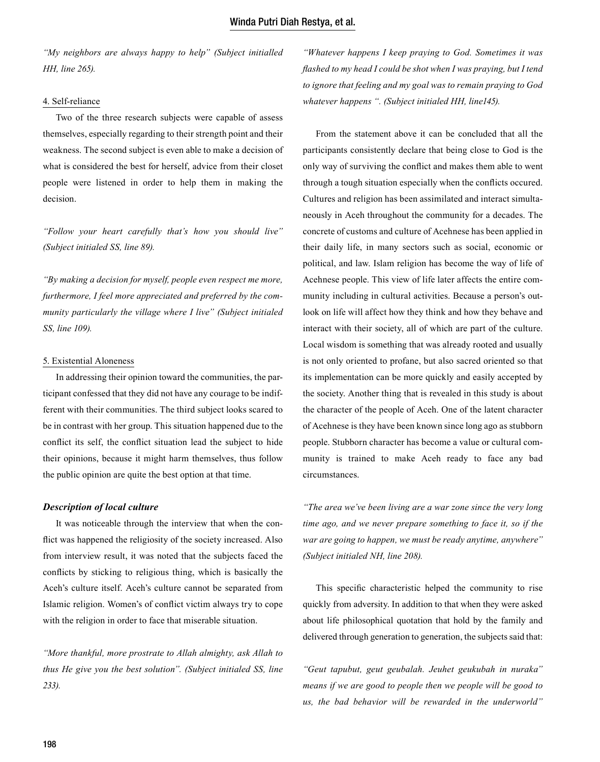*"My neighbors are always happy to help" (Subject initialled HH, line 265).*

#### 4. Self-reliance

Two of the three research subjects were capable of assess themselves, especially regarding to their strength point and their weakness. The second subject is even able to make a decision of what is considered the best for herself, advice from their closet people were listened in order to help them in making the decision.

*"Follow your heart carefully that's how you should live" (Subject initialed SS, line 89).*

*"By making a decision for myself, people even respect me more, furthermore, I feel more appreciated and preferred by the community particularly the village where I live" (Subject initialed SS, line 109).*

## 5. Existential Aloneness

In addressing their opinion toward the communities, the participant confessed that they did not have any courage to be indifferent with their communities. The third subject looks scared to be in contrast with her group. This situation happened due to the conflict its self, the conflict situation lead the subject to hide their opinions, because it might harm themselves, thus follow the public opinion are quite the best option at that time.

#### *Description of local culture*

It was noticeable through the interview that when the conflict was happened the religiosity of the society increased. Also from interview result, it was noted that the subjects faced the conflicts by sticking to religious thing, which is basically the Aceh's culture itself. Aceh's culture cannot be separated from Islamic religion. Women's of conflict victim always try to cope with the religion in order to face that miserable situation.

*"More thankful, more prostrate to Allah almighty, ask Allah to thus He give you the best solution". (Subject initialed SS, line 233).*

*"Whatever happens I keep praying to God. Sometimes it was flashed to my head I could be shot when I was praying, but I tend to ignore that feeling and my goal was to remain praying to God whatever happens ". (Subject initialed HH, line145).*

From the statement above it can be concluded that all the participants consistently declare that being close to God is the only way of surviving the conflict and makes them able to went through a tough situation especially when the conflicts occured. Cultures and religion has been assimilated and interact simultaneously in Aceh throughout the community for a decades. The concrete of customs and culture of Acehnese has been applied in their daily life, in many sectors such as social, economic or political, and law. Islam religion has become the way of life of Acehnese people. This view of life later affects the entire community including in cultural activities. Because a person's outlook on life will affect how they think and how they behave and interact with their society, all of which are part of the culture. Local wisdom is something that was already rooted and usually is not only oriented to profane, but also sacred oriented so that its implementation can be more quickly and easily accepted by the society. Another thing that is revealed in this study is about the character of the people of Aceh. One of the latent character of Acehnese is they have been known since long ago as stubborn people. Stubborn character has become a value or cultural community is trained to make Aceh ready to face any bad circumstances.

*"The area we've been living are a war zone since the very long time ago, and we never prepare something to face it, so if the war are going to happen, we must be ready anytime, anywhere" (Subject initialed NH, line 208).*

This specific characteristic helped the community to rise quickly from adversity. In addition to that when they were asked about life philosophical quotation that hold by the family and delivered through generation to generation, the subjects said that:

*"Geut tapubut, geut geubalah. Jeuhet geukubah in nuraka" means if we are good to people then we people will be good to us, the bad behavior will be rewarded in the underworld"*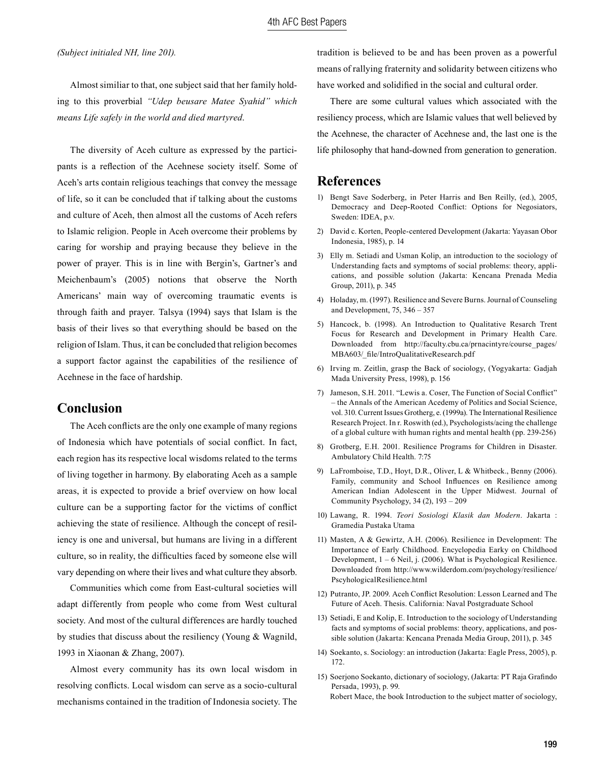*(Subject initialed NH, line 201).*

Almost similiar to that, one subject said that her family holding to this proverbial *"Udep beusare Matee Syahid" which means Life safely in the world and died martyred*.

The diversity of Aceh culture as expressed by the participants is a reflection of the Acehnese society itself. Some of Aceh's arts contain religious teachings that convey the message of life, so it can be concluded that if talking about the customs and culture of Aceh, then almost all the customs of Aceh refers to Islamic religion. People in Aceh overcome their problems by caring for worship and praying because they believe in the power of prayer. This is in line with Bergin's, Gartner's and Meichenbaum's (2005) notions that observe the North Americans' main way of overcoming traumatic events is through faith and prayer. Talsya (1994) says that Islam is the basis of their lives so that everything should be based on the religion of Islam. Thus, it can be concluded that religion becomes a support factor against the capabilities of the resilience of Acehnese in the face of hardship.

# **Conclusion**

The Aceh conflicts are the only one example of many regions of Indonesia which have potentials of social conflict. In fact, each region has its respective local wisdoms related to the terms of living together in harmony. By elaborating Aceh as a sample areas, it is expected to provide a brief overview on how local culture can be a supporting factor for the victims of conflict achieving the state of resilience. Although the concept of resiliency is one and universal, but humans are living in a different culture, so in reality, the difficulties faced by someone else will vary depending on where their lives and what culture they absorb.

Communities which come from East-cultural societies will adapt differently from people who come from West cultural society. And most of the cultural differences are hardly touched by studies that discuss about the resiliency (Young & Wagnild, 1993 in Xiaonan & Zhang, 2007).

Almost every community has its own local wisdom in resolving conflicts. Local wisdom can serve as a socio-cultural mechanisms contained in the tradition of Indonesia society. The tradition is believed to be and has been proven as a powerful means of rallying fraternity and solidarity between citizens who have worked and solidified in the social and cultural order.

There are some cultural values which associated with the resiliency process, which are Islamic values that well believed by the Acehnese, the character of Acehnese and, the last one is the life philosophy that hand-downed from generation to generation.

# **References**

- 1) Bengt Save Soderberg, in Peter Harris and Ben Reilly, (ed.), 2005, Democracy and Deep-Rooted Conflict: Options for Negosiators, Sweden: IDEA, p.v.
- 2) David c. Korten, People-centered Development (Jakarta: Yayasan Obor Indonesia, 1985), p. 14
- 3) Elly m. Setiadi and Usman Kolip, an introduction to the sociology of Understanding facts and symptoms of social problems: theory, applications, and possible solution (Jakarta: Kencana Prenada Media Group, 2011), p. 345
- 4) Holaday, m. (1997). Resilience and Severe Burns. Journal of Counseling and Development, 75, 346 – 357
- 5) Hancock, b. (1998). An Introduction to Qualitative Resarch Trent Focus for Research and Development in Primary Health Care. Downloaded from http://faculty.cbu.ca/prnacintyre/course\_pages/ MBA603/\_file/IntroQualitativeResearch.pdf
- 6) Irving m. Zeitlin, grasp the Back of sociology, (Yogyakarta: Gadjah Mada University Press, 1998), p. 156
- 7) Jameson, S.H. 2011. "Lewis a. Coser, The Function of Social Conflict" – the Annals of the American Acedemy of Politics and Social Science, vol. 310. Current Issues Grotherg, e. (1999a). The International Resilience Research Project. In r. Roswith (ed.), Psychologists/acing the challenge of a global culture with human rights and mental health (pp. 239-256)
- 8) Grotberg, E.H. 2001. Resilience Programs for Children in Disaster. Ambulatory Child Health. 7:75
- 9) LaFromboise, T.D., Hoyt, D.R., Oliver, L & Whitbeck., Benny (2006). Family, community and School Influences on Resilience among American Indian Adolescent in the Upper Midwest. Journal of Community Psychology, 34 (2), 193 – 209
- 10) Lawang, R. 1994. *Teori Sosiologi Klasik dan Modern*. Jakarta : Gramedia Pustaka Utama
- 11) Masten, A & Gewirtz, A.H. (2006). Resilience in Development: The Importance of Early Childhood. Encyclopedia Earky on Childhood Development, 1 – 6 Neil, j. (2006). What is Psychological Resilience. Downloaded from http://www.wilderdom.com/psychology/resilience/ PscyhologicalResilience.html
- 12) Putranto, JP. 2009. Aceh Conflict Resolution: Lesson Learned and The Future of Aceh. Thesis. California: Naval Postgraduate School
- 13) Setiadi, E and Kolip, E. Introduction to the sociology of Understanding facts and symptoms of social problems: theory, applications, and possible solution (Jakarta: Kencana Prenada Media Group, 2011), p. 345
- 14) Soekanto, s. Sociology: an introduction (Jakarta: Eagle Press, 2005), p. 172.
- 15) Soerjono Soekanto, dictionary of sociology, (Jakarta: PT Raja Grafindo Persada, 1993), p. 99. Robert Mace, the book Introduction to the subject matter of sociology,